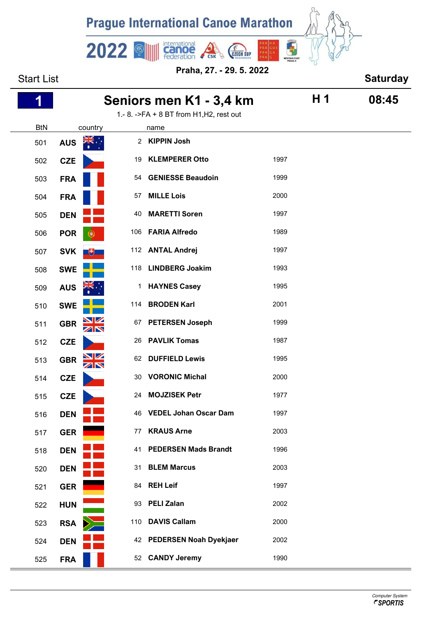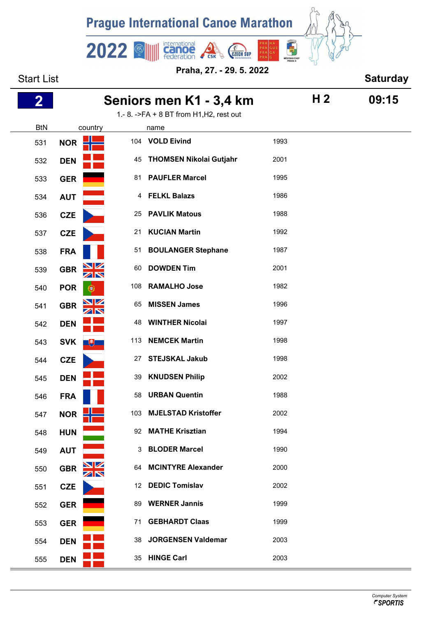

| <b>Start List</b> |                  | <b>Saturday</b>  |                                                  |      |                |       |
|-------------------|------------------|------------------|--------------------------------------------------|------|----------------|-------|
| 2                 |                  |                  | Seniors men K1 - 3,4 km                          |      | H <sub>2</sub> | 09:15 |
| <b>BtN</b>        | country          |                  | 1.- 8. ->FA + 8 BT from H1, H2, rest out<br>name |      |                |       |
| 531               | <b>NOR</b>       |                  | 104 VOLD Eivind                                  | 1993 |                |       |
| 532               | <b>DEN</b>       | 45               | <b>THOMSEN Nikolai Gutjahr</b>                   | 2001 |                |       |
| 533               | <b>GER</b>       | 81               | <b>PAUFLER Marcel</b>                            | 1995 |                |       |
| 534               | <b>AUT</b>       | 4                | <b>FELKL Balazs</b>                              | 1986 |                |       |
| 536               | <b>CZE</b>       | 25               | <b>PAVLIK Matous</b>                             | 1988 |                |       |
| 537               | <b>CZE</b>       | 21               | <b>KUCIAN Martin</b>                             | 1992 |                |       |
| 538               | <b>FRA</b>       | 51               | <b>BOULANGER Stephane</b>                        | 1987 |                |       |
| 539               | <b>GBR</b>       | 60               | <b>DOWDEN Tim</b>                                | 2001 |                |       |
| 540               | <b>POR</b><br>U. | 108              | <b>RAMALHO Jose</b>                              | 1982 |                |       |
| 541               | <b>GBR</b>       | 65               | <b>MISSEN James</b>                              | 1996 |                |       |
| 542               | <b>DEN</b>       | 48               | <b>WINTHER Nicolai</b>                           | 1997 |                |       |
| 543               | <b>SVK</b><br>嗖  | 113              | <b>NEMCEK Martin</b>                             | 1998 |                |       |
| 544               | <b>CZE</b>       | 27               | <b>STEJSKAL Jakub</b>                            | 1998 |                |       |
| 545               | <b>DEN</b>       | 39               | <b>KNUDSEN Philip</b>                            | 2002 |                |       |
| 546               | <b>FRA</b>       | 58               | <b>URBAN Quentin</b>                             | 1988 |                |       |
| 547               | <b>NOR</b>       |                  | 103 MJELSTAD Kristoffer                          | 2002 |                |       |
| 548               | <b>HUN</b>       |                  | 92 MATHE Krisztian                               | 1994 |                |       |
| 549               | <b>AUT</b>       | 3                | <b>BLODER Marcel</b>                             | 1990 |                |       |
| 550               | <b>GBR</b><br>ZN |                  | 64 MCINTYRE Alexander                            | 2000 |                |       |
| 551               | <b>CZE</b>       | 12 <sup>12</sup> | <b>DEDIC Tomislav</b>                            | 2002 |                |       |
| 552               | <b>GER</b>       | 89               | <b>WERNER Jannis</b>                             | 1999 |                |       |
| 553               | <b>GER</b>       | 71               | <b>GEBHARDT Claas</b>                            | 1999 |                |       |
| 554               | <b>DEN</b>       | 38               | <b>JORGENSEN Valdemar</b>                        | 2003 |                |       |
| 555               | <b>DEN</b>       |                  | 35 HINGE Carl                                    | 2003 |                |       |
|                   |                  |                  |                                                  |      |                |       |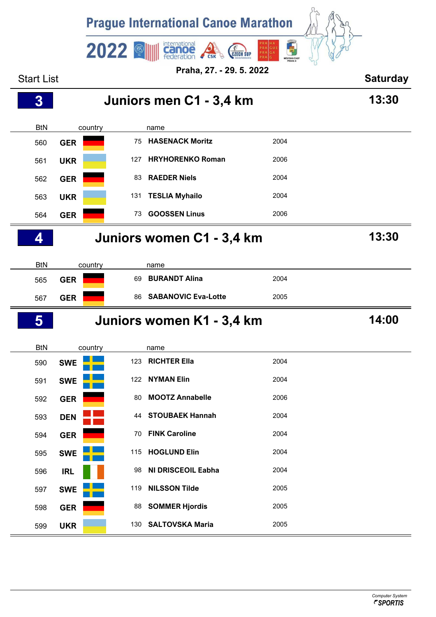| <b>Prague International Canoe Marathon</b>                      |                           |     |                            |      |  |  |  |
|-----------------------------------------------------------------|---------------------------|-----|----------------------------|------|--|--|--|
| international<br>而<br>2022<br><b>PRAGUE</b><br><b>CZECH SUP</b> |                           |     |                            |      |  |  |  |
| MÊSTSKÁ ČÁST<br>PRAHA 4<br>Praha, 27. - 29. 5. 2022             |                           |     |                            |      |  |  |  |
| <b>Start List</b>                                               |                           |     |                            |      |  |  |  |
| $\bf{3}$                                                        | 13:30                     |     |                            |      |  |  |  |
| <b>BtN</b>                                                      | country                   |     | name                       |      |  |  |  |
| 560                                                             | <b>GER</b>                |     | 75 HASENACK Moritz         | 2004 |  |  |  |
| 561                                                             | <b>UKR</b>                | 127 | <b>HRYHORENKO Roman</b>    | 2006 |  |  |  |
| 562                                                             | <b>GER</b>                | 83  | <b>RAEDER Niels</b>        | 2004 |  |  |  |
| 563                                                             | <b>UKR</b>                | 131 | <b>TESLIA Myhailo</b>      | 2004 |  |  |  |
| 564                                                             | <b>GER</b>                | 73  | <b>GOOSSEN Linus</b>       | 2006 |  |  |  |
| 4                                                               | Juniors women C1 - 3,4 km |     |                            |      |  |  |  |
| <b>BtN</b>                                                      | country                   |     | name                       |      |  |  |  |
| 565                                                             | <b>GER</b>                | 69  | <b>BURANDT Alina</b>       | 2004 |  |  |  |
| 567                                                             | <b>GER</b>                | 86  | <b>SABANOVIC Eva-Lotte</b> | 2005 |  |  |  |
| 5                                                               | Juniors women K1 - 3,4 km |     |                            |      |  |  |  |
| <b>BtN</b>                                                      | country                   |     | name                       |      |  |  |  |
| 590                                                             | <b>SWE</b>                | 123 | <b>RICHTER Ella</b>        | 2004 |  |  |  |
| 591                                                             | <b>SWE</b>                | 122 | <b>NYMAN Elin</b>          | 2004 |  |  |  |
| 592                                                             | <b>GER</b>                | 80  | <b>MOOTZ Annabelle</b>     | 2006 |  |  |  |
| 593                                                             | <b>DEN</b>                | 44  | <b>STOUBAEK Hannah</b>     | 2004 |  |  |  |
| 594                                                             | <b>GER</b>                | 70  | <b>FINK Caroline</b>       | 2004 |  |  |  |
| 595                                                             | <b>SWE</b>                | 115 | <b>HOGLUND Elin</b>        | 2004 |  |  |  |
| 596                                                             | <b>IRL</b>                | 98  | <b>NI DRISCEOIL Eabha</b>  | 2004 |  |  |  |
| 597                                                             | <b>SWE</b>                | 119 | <b>NILSSON Tilde</b>       | 2005 |  |  |  |
| 598                                                             | <b>GER</b>                | 88  | <b>SOMMER Hjordis</b>      | 2005 |  |  |  |
| 599                                                             | <b>UKR</b>                | 130 | <b>SALTOVSKA Maria</b>     | 2005 |  |  |  |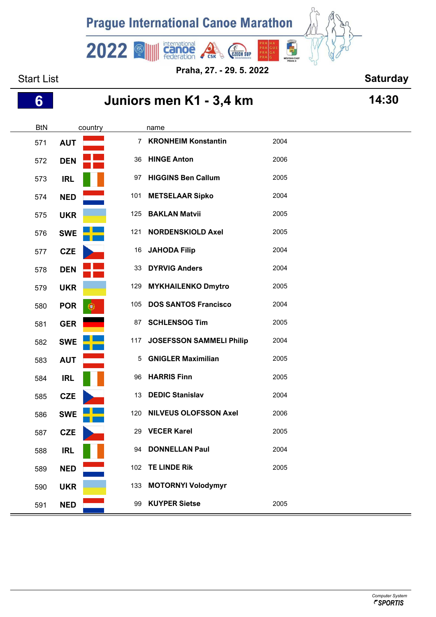

**Praha, 27. - 29. 5. 2022**

### Start List **Start List Start List Start List Saturday**

# **Juniors men K1 - 3,4 km 14:30**

| <b>BtN</b> |            | country |                | name                            |      |
|------------|------------|---------|----------------|---------------------------------|------|
| 571        | <b>AUT</b> |         | $\overline{7}$ | <b>KRONHEIM Konstantin</b>      | 2004 |
| 572        | <b>DEN</b> |         |                | 36 HINGE Anton                  | 2006 |
| 573        | <b>IRL</b> |         | 97             | <b>HIGGINS Ben Callum</b>       | 2005 |
| 574        | <b>NED</b> |         | 101            | <b>METSELAAR Sipko</b>          | 2004 |
| 575        | <b>UKR</b> |         | 125            | <b>BAKLAN Matvii</b>            | 2005 |
| 576        | <b>SWE</b> |         | 121            | <b>NORDENSKIOLD Axel</b>        | 2005 |
| 577        | <b>CZE</b> |         | 16             | <b>JAHODA Filip</b>             | 2004 |
| 578        | <b>DEN</b> |         | 33             | <b>DYRVIG Anders</b>            | 2004 |
| 579        | <b>UKR</b> |         | 129            | <b>MYKHAILENKO Dmytro</b>       | 2005 |
| 580        | <b>POR</b> |         | 105            | <b>DOS SANTOS Francisco</b>     | 2004 |
| 581        | <b>GER</b> |         | 87             | <b>SCHLENSOG Tim</b>            | 2005 |
| 582        | <b>SWE</b> |         | 117            | <b>JOSEFSSON SAMMELI Philip</b> | 2004 |
| 583        | <b>AUT</b> |         | 5              | <b>GNIGLER Maximilian</b>       | 2005 |
| 584        | <b>IRL</b> |         | 96             | <b>HARRIS Finn</b>              | 2005 |
| 585        | <b>CZE</b> |         | 13             | <b>DEDIC Stanislav</b>          | 2004 |
| 586        | <b>SWE</b> |         | 120            | <b>NILVEUS OLOFSSON Axel</b>    | 2006 |
| 587        | <b>CZE</b> |         | 29             | <b>VECER Karel</b>              | 2005 |
| 588        | <b>IRL</b> |         | 94             | <b>DONNELLAN Paul</b>           | 2004 |
| 589        | <b>NED</b> |         |                | 102 TE LINDE Rik                | 2005 |
| 590        | <b>UKR</b> |         |                | 133 MOTORNYI Volodymyr          |      |
| 591        | <b>NED</b> |         | 99             | <b>KUYPER Sietse</b>            | 2005 |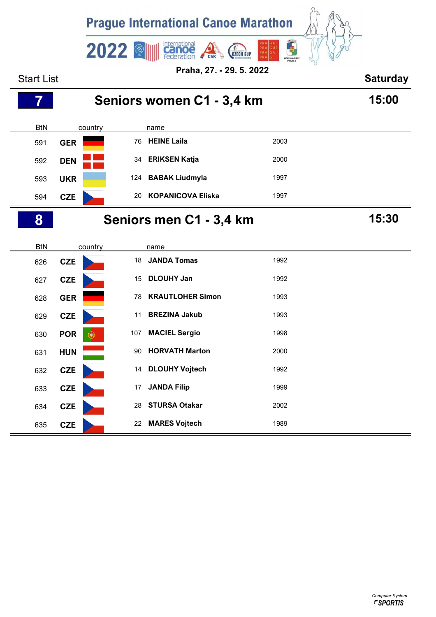

**CZE** 14 **DLOUHY Vojtech** 1992

**633 CZE** 17 JANDA Filip 1999

**CZE** 28 **STURSA Otakar** 2002

**CZE** 22 **MARES Vojtech** 1989